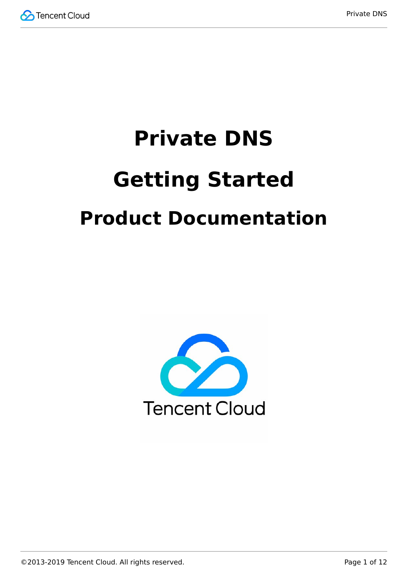

# **Private DNS Getting Started Product Documentation**

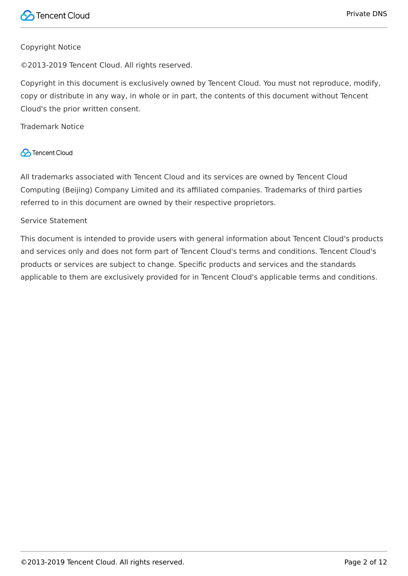#### Copyright Notice

©2013-2019 Tencent Cloud. All rights reserved.

Copyright in this document is exclusively owned by Tencent Cloud. You must not reproduce, modify, copy or distribute in any way, in whole or in part, the contents of this document without Tencent Cloud's the prior written consent.

Trademark Notice

#### **C** Tencent Cloud

All trademarks associated with Tencent Cloud and its services are owned by Tencent Cloud Computing (Beijing) Company Limited and its affiliated companies. Trademarks of third parties referred to in this document are owned by their respective proprietors.

#### Service Statement

This document is intended to provide users with general information about Tencent Cloud's products and services only and does not form part of Tencent Cloud's terms and conditions. Tencent Cloud's products or services are subject to change. Specific products and services and the standards applicable to them are exclusively provided for in Tencent Cloud's applicable terms and conditions.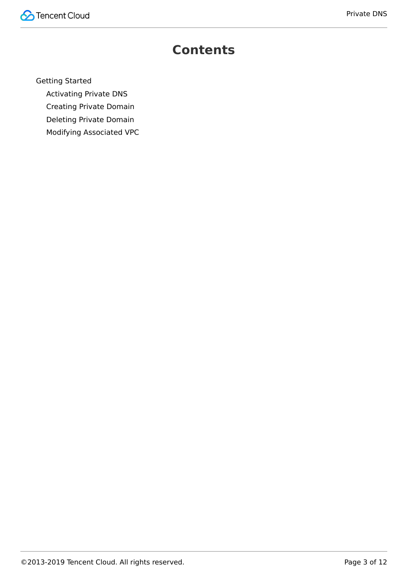

### **Contents**

[Getting Started](#page-3-0)

[Activating Private DNS](#page-3-1)

[Creating Private Domain](#page-5-0)

[Deleting Private Domain](#page-8-0)

[Modifying Associated VPC](#page-10-0)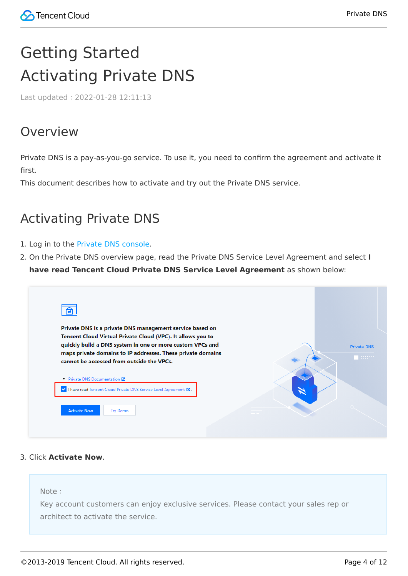# <span id="page-3-1"></span><span id="page-3-0"></span>Getting Started Activating Private DNS

Last updated:2022-01-28 12:11:13

#### Overview

Private DNS is a pay-as-you-go service. To use it, you need to confirm the agreement and activate it first.

This document describes how to activate and try out the Private DNS service.

#### Activating Private DNS

- 1. Log in to the [Private DNS console](https://console.cloud.tencent.com/privatedns).
- 2. On the Private DNS overview page, read the Private DNS Service Level Agreement and select **I have read Tencent Cloud Private DNS Service Level Agreement** as shown below:

| 自                                                                                                                                                                                                                                                                                                |                                     |
|--------------------------------------------------------------------------------------------------------------------------------------------------------------------------------------------------------------------------------------------------------------------------------------------------|-------------------------------------|
| Private DNS is a private DNS management service based on<br>Tencent Cloud Virtual Private Cloud (VPC). It allows you to<br>quickly build a DNS system in one or more custom VPCs and<br>maps private domains to IP addresses. These private domains<br>cannot be accessed from outside the VPCs. | <b>Private DNS</b><br><b>SECOND</b> |
| • Private DNS Documentation L'<br>V   I have read Tencent Cloud Private DNS Service Level Agreement Z.                                                                                                                                                                                           |                                     |
| <b>Activate Now</b><br>Try Demo                                                                                                                                                                                                                                                                  |                                     |

#### 3. Click **Activate Now**.

Note:

Key account customers can enjoy exclusive services. Please contact your sales rep or architect to activate the service.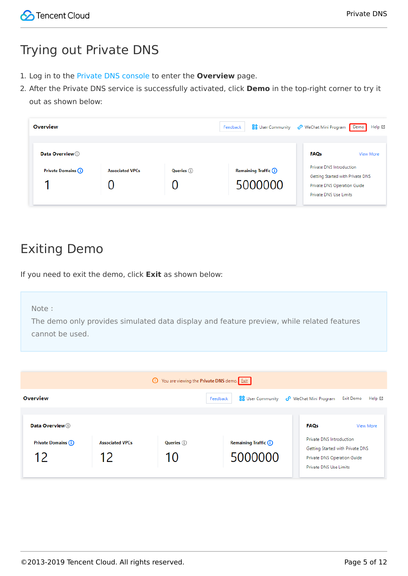### Trying out Private DNS

- 1. Log in to the [Private DNS console](https://console.cloud.tencent.com/privatedns) to enter the **Overview** page.
- 2. After the Private DNS service is successfully activated, click **Demo** in the top-right corner to try it out as shown below:

| <b>Overview</b>                          |                        |                    | Feedback                                | <b>Bo</b> User Community <b>C</b> WeChat Mini Program Demo                                                                                        | Help M |
|------------------------------------------|------------------------|--------------------|-----------------------------------------|---------------------------------------------------------------------------------------------------------------------------------------------------|--------|
| Data Overview (1)<br>Private Domains (i) | <b>Associated VPCs</b> | <b>Queries</b> (i) | <b>Remaining Traffic (i)</b><br>5000000 | <b>FAQs</b><br>View More<br>Private DNS Introduction<br>Getting Started with Private DNS<br>Private DNS Operation Guide<br>Private DNS Use Limits |        |

### Exiting Demo

If you need to exit the demo, click **Exit** as shown below:

#### Note:

The demo only provides simulated data display and feature preview, while related features cannot be used.

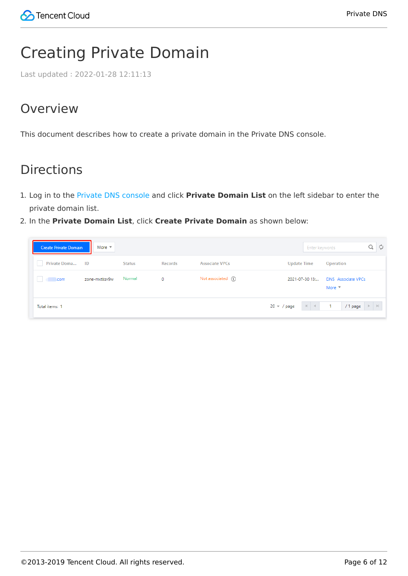# <span id="page-5-0"></span>Creating Private Domain

Last updated:2022-01-28 12:11:13

### Overview

This document describes how to create a private domain in the Private DNS console.

### Directions

- 1. Log in to the [Private DNS console](https://console.cloud.tencent.com/privatedns/domains) and click **Private Domain List** on the left sidebar to enter the private domain list.
- 2. In the **Private Domain List**, click **Create Private Domain** as shown below:

| Create Private Domain | More $\Psi$   |               |         |                       |                          | <b>C</b><br>Enter keywords                                 |
|-----------------------|---------------|---------------|---------|-----------------------|--------------------------|------------------------------------------------------------|
| Private Doma ID<br>H. |               | <b>Status</b> | Records | <b>Associate VPCs</b> | <b>Update Time</b>       | Operation                                                  |
| .com                  | zone-mxtksv9w | Normal        | 0       | Not associated $(i)$  | 2021-07-30 13:           | <b>DNS</b> Associate VPCs<br>More $\overline{\phantom{a}}$ |
| Total items: 1        |               |               |         |                       | $M = 4$<br>$20 - / page$ | /1 page<br>$\mathbb{R}$ .<br><br>E                         |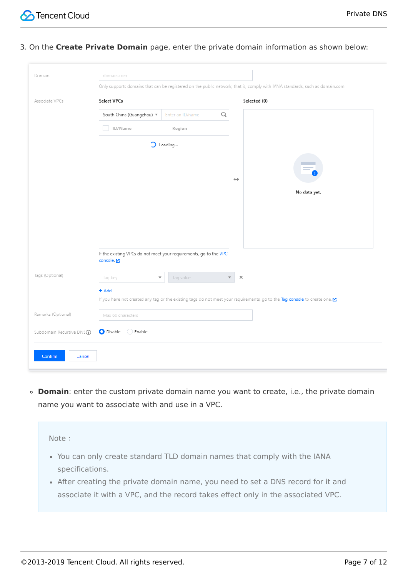

3. On the **Create Private Domain** page, enter the private domain information as shown below:

| Domain                                  | domain.com                                                                                                                  |
|-----------------------------------------|-----------------------------------------------------------------------------------------------------------------------------|
|                                         | Only supports domains that can be registered on the public network, that is, comply with IANA standards, such as domain.com |
| Associate VPCs                          | Select VPCs<br>Selected (0)                                                                                                 |
|                                         | Enter an ID/name<br>Q<br>South China (Guangzhou) $\sqrt{\ }$                                                                |
|                                         | ID/Name<br>l.<br>Region                                                                                                     |
|                                         | $\supset$ Loading                                                                                                           |
|                                         | $\leftrightarrow$                                                                                                           |
|                                         | No data yet.                                                                                                                |
|                                         |                                                                                                                             |
|                                         |                                                                                                                             |
|                                         | If the existing VPCs do not meet your requirements, go to the VPC<br>console. <sup>[2]</sup>                                |
| Tags (Optional)                         | $\times$<br>Tag value<br>Tag key<br>$\overline{\mathbf v}$<br>$\overline{\mathbf{v}}$                                       |
|                                         | $+$ Add                                                                                                                     |
|                                         | If you have not created any tag or the existing tags do not meet your requirements, go to the Tag console to create one. E  |
| Remarks (Optional)                      | Max 60 characters                                                                                                           |
| Subdomain Recursive DNS <sup>(1</sup> ) | Disable Enable                                                                                                              |
| Confirm<br>Cancel                       |                                                                                                                             |

**Domain**: enter the custom private domain name you want to create, i.e., the private domain name you want to associate with and use in a VPC.

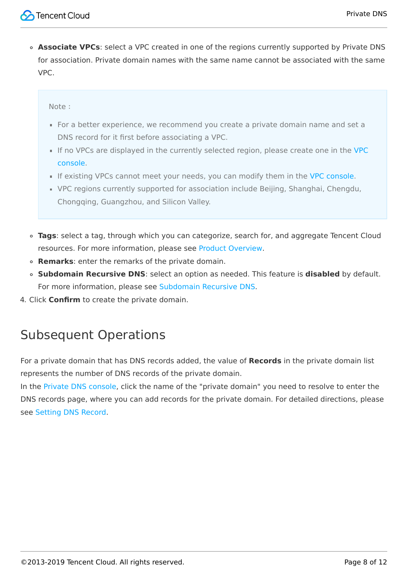**Associate VPCs**: select a VPC created in one of the regions currently supported by Private DNS for association. Private domain names with the same name cannot be associated with the same VPC.

#### Note:

- For a better experience, we recommend you create a private domain name and set a DNS record for it first before associating a VPC.
- [If no VPCs are displayed in the currently selected region, please create one in the VPC](https://console.cloud.tencent.com/vpc/vpc?rid=1/) console.
- If existing VPCs cannot meet your needs, you can modify them in the [VPC console.](https://console.cloud.tencent.com/vpc/vpc?rid=1/)
- VPC regions currently supported for association include Beijing, Shanghai, Chengdu, Chongqing, Guangzhou, and Silicon Valley.
- **Tags**: select a tag, through which you can categorize, search for, and aggregate Tencent Cloud resources. For more information, please see [Product Overview.](https://intl.cloud.tencent.com/document/product/651/13334)
- **Remarks**: enter the remarks of the private domain.
- **Subdomain Recursive DNS**: select an option as needed. This feature is **disabled** by default. For more information, please see [Subdomain Recursive DNS](https://intl.cloud.tencent.com/document/product/1097/40566).
- 4. Click **Confirm** to create the private domain.

#### Subsequent Operations

For a private domain that has DNS records added, the value of **Records** in the private domain list represents the number of DNS records of the private domain.

In the [Private DNS console,](https://console.cloud.tencent.com/privatedns/domains) click the name of the "private domain" you need to resolve to enter the DNS records page, where you can add records for the private domain. For detailed directions, please see [Setting DNS Record.](https://intl.cloud.tencent.com/zh/document/product/1097/40568)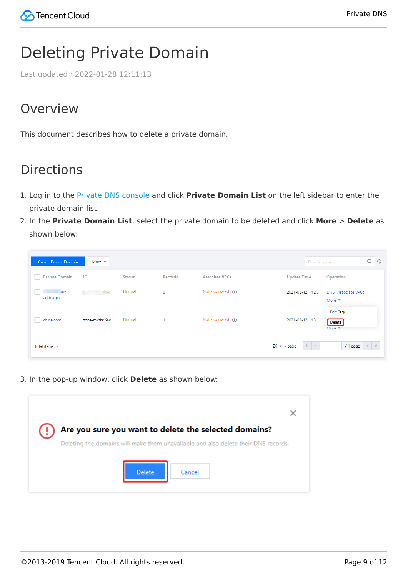## <span id="page-8-0"></span>Deleting Private Domain

Last updated:2022-01-28 12:11:13

### Overview

This document describes how to delete a private domain.

### **Directions**

- 1. Log in to the [Private DNS console](https://console.cloud.tencent.com/privatedns) and click **Private Domain List** on the left sidebar to enter the private domain list.
- 2. In the **Private Domain List**, select the private domain to be deleted and click **More** > **Delete** as shown below:

| <b>Create Private Domain</b>    | More $\overline{\phantom{a}}$ |               |         |                       | Enter keywords                       | Q<br>් උ                                         |
|---------------------------------|-------------------------------|---------------|---------|-----------------------|--------------------------------------|--------------------------------------------------|
| Private Domain ID               |                               | <b>Status</b> | Records | <b>Associate VPCs</b> | <b>Update Time</b>                   | Operation                                        |
| $\blacksquare$ in-<br>addr.arpa | 5k4                           | Normal        | 0       | Not associated (i)    | 2021-08-12 14:2                      | <b>DNS</b> Associate VPCs<br>More $\overline{ }$ |
| china.com                       | zone-mxtksv9w                 | Normal        | ٠       | Not associated (i)    | 2021-08-12 14:3                      | <b>Edit Tags</b><br><b>Delete</b><br>More $\Psi$ |
| Total items: 2                  |                               |               |         |                       | $20 - / page$<br>$\vert 4 \vert = 4$ | $\mathbb{R} \times \mathbb{R}$<br>/ 1 page       |

3. In the pop-up window, click **Delete** as shown below:

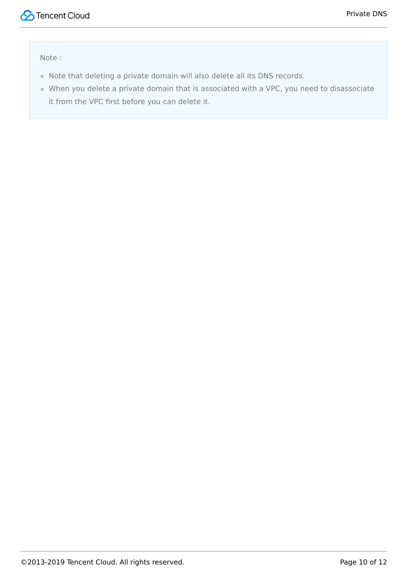

Note:

- Note that deleting a private domain will also delete all its DNS records.
- When you delete a private domain that is associated with a VPC, you need to disassociate it from the VPC first before you can delete it.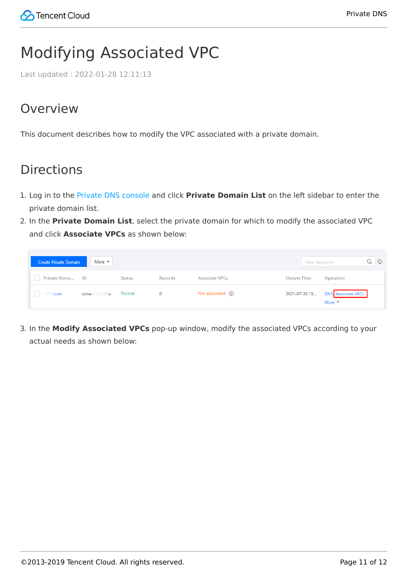# <span id="page-10-0"></span>Modifying Associated VPC

Last updated:2022-01-28 12:11:13

#### Overview

This document describes how to modify the VPC associated with a private domain.

### **Directions**

- 1. Log in to the [Private DNS console](https://console.cloud.tencent.com/privatedns) and click **Private Domain List** on the left sidebar to enter the private domain list.
- 2. In the **Private Domain List**, select the private domain for which to modify the associated VPC and click **Associate VPCs** as shown below:

| Create Private Domain More ▼ |                 |               |         |                       |                    | Enter keywords |                                                                    |
|------------------------------|-----------------|---------------|---------|-----------------------|--------------------|----------------|--------------------------------------------------------------------|
| Private Doma ID              |                 | <b>Status</b> | Records | <b>Associate VPCs</b> | <b>Update Time</b> |                | Operation                                                          |
| <b>Executive</b> Com         | zone-. W Normal |               | $\circ$ | Not associated (i)    |                    |                | 2021-07-30 13: DNS Associate VPCs<br>More $\overline{\phantom{a}}$ |

3. In the **Modify Associated VPCs** pop-up window, modify the associated VPCs according to your actual needs as shown below: